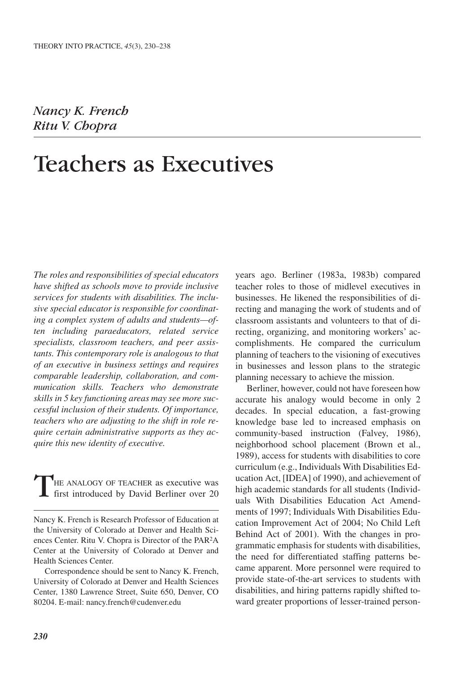Nancy K. French Ritu V. Chopra

# Teachers as Executives

*The roles and responsibilities of special educators have shifted as schools move to provide inclusive services for students with disabilities. The inclusive special educator is responsible for coordinating a complex system of adults and students—often including paraeducators, related service specialists, classroom teachers, and peer assistants. This contemporary role is analogous to that of an executive in business settings and requires comparable leadership, collaboration, and communication skills. Teachers who demonstrate skills in 5 key functioning areas may see more successful inclusion of their students. Of importance, teachers who are adjusting to the shift in role require certain administrative supports as they acquire this new identity of executive.*

HE ANALOGY OF TEACHER as executive was first introduced by David Berliner over 20

Correspondence should be sent to Nancy K. French, University of Colorado at Denver and Health Sciences Center, 1380 Lawrence Street, Suite 650, Denver, CO 80204. E-mail: nancy.french@cudenver.edu

years ago. Berliner (1983a, 1983b) compared teacher roles to those of midlevel executives in businesses. He likened the responsibilities of directing and managing the work of students and of classroom assistants and volunteers to that of directing, organizing, and monitoring workers' accomplishments. He compared the curriculum planning of teachers to the visioning of executives in businesses and lesson plans to the strategic planning necessary to achieve the mission.

Berliner, however, could not have foreseen how accurate his analogy would become in only 2 decades. In special education, a fast-growing knowledge base led to increased emphasis on community-based instruction (Falvey, 1986), neighborhood school placement (Brown et al., 1989), access for students with disabilities to core curriculum (e.g., Individuals With Disabilities Education Act, [IDEA] of 1990), and achievement of high academic standards for all students (Individuals With Disabilities Education Act Amendments of 1997; Individuals With Disabilities Education Improvement Act of 2004; No Child Left Behind Act of 2001). With the changes in programmatic emphasis for students with disabilities, the need for differentiated staffing patterns became apparent. More personnel were required to provide state-of-the-art services to students with disabilities, and hiring patterns rapidly shifted toward greater proportions of lesser-trained person-

Nancy K. French is Research Professor of Education at the University of Colorado at Denver and Health Sciences Center. Ritu V. Chopra is Director of the PAR2A Center at the University of Colorado at Denver and Health Sciences Center.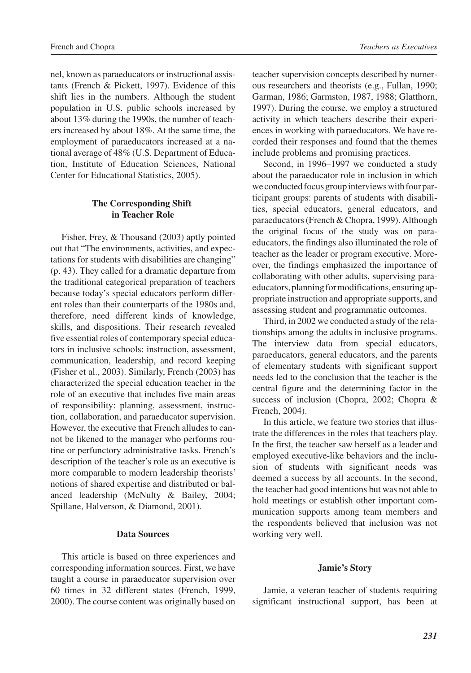nel, known as paraeducators or instructional assistants (French & Pickett, 1997). Evidence of this shift lies in the numbers. Although the student population in U.S. public schools increased by about 13% during the 1990s, the number of teachers increased by about 18%. At the same time, the employment of paraeducators increased at a national average of 48% (U.S. Department of Education, Institute of Education Sciences, National Center for Educational Statistics, 2005).

# **The Corresponding Shift in Teacher Role**

Fisher, Frey, & Thousand (2003) aptly pointed out that "The environments, activities, and expectations for students with disabilities are changing" (p. 43). They called for a dramatic departure from the traditional categorical preparation of teachers because today's special educators perform different roles than their counterparts of the 1980s and, therefore, need different kinds of knowledge, skills, and dispositions. Their research revealed five essential roles of contemporary special educators in inclusive schools: instruction, assessment, communication, leadership, and record keeping (Fisher et al., 2003). Similarly, French (2003) has characterized the special education teacher in the role of an executive that includes five main areas of responsibility: planning, assessment, instruction, collaboration, and paraeducator supervision. However, the executive that French alludes to cannot be likened to the manager who performs routine or perfunctory administrative tasks. French's description of the teacher's role as an executive is more comparable to modern leadership theorists' notions of shared expertise and distributed or balanced leadership (McNulty & Bailey, 2004; Spillane, Halverson, & Diamond, 2001).

#### **Data Sources**

This article is based on three experiences and corresponding information sources. First, we have taught a course in paraeducator supervision over 60 times in 32 different states (French, 1999, 2000). The course content was originally based on

teacher supervision concepts described by numerous researchers and theorists (e.g., Fullan, 1990; Garman, 1986; Garmston, 1987, 1988; Glatthorn, 1997). During the course, we employ a structured activity in which teachers describe their experiences in working with paraeducators. We have recorded their responses and found that the themes include problems and promising practices.

Second, in 1996–1997 we conducted a study about the paraeducator role in inclusion in which we conducted focus group interviews with four participant groups: parents of students with disabilities, special educators, general educators, and paraeducators (French & Chopra, 1999). Although the original focus of the study was on paraeducators, the findings also illuminated the role of teacher as the leader or program executive. Moreover, the findings emphasized the importance of collaborating with other adults, supervising paraeducators, planning for modifications, ensuring appropriate instruction and appropriate supports, and assessing student and programmatic outcomes.

Third, in 2002 we conducted a study of the relationships among the adults in inclusive programs. The interview data from special educators, paraeducators, general educators, and the parents of elementary students with significant support needs led to the conclusion that the teacher is the central figure and the determining factor in the success of inclusion (Chopra, 2002; Chopra & French, 2004).

In this article, we feature two stories that illustrate the differences in the roles that teachers play. In the first, the teacher saw herself as a leader and employed executive-like behaviors and the inclusion of students with significant needs was deemed a success by all accounts. In the second, the teacher had good intentions but was not able to hold meetings or establish other important communication supports among team members and the respondents believed that inclusion was not working very well.

#### **Jamie's Story**

Jamie, a veteran teacher of students requiring significant instructional support, has been at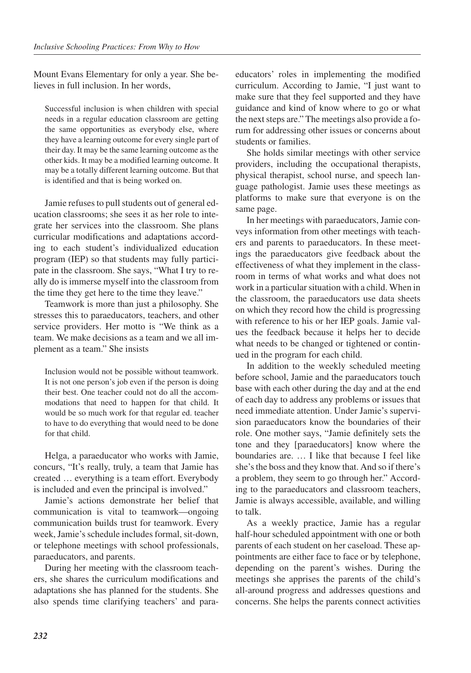Mount Evans Elementary for only a year. She believes in full inclusion. In her words,

Successful inclusion is when children with special needs in a regular education classroom are getting the same opportunities as everybody else, where they have a learning outcome for every single part of their day. It may be the same learning outcome as the other kids. It may be a modified learning outcome. It may be a totally different learning outcome. But that is identified and that is being worked on.

Jamie refuses to pull students out of general education classrooms; she sees it as her role to integrate her services into the classroom. She plans curricular modifications and adaptations according to each student's individualized education program (IEP) so that students may fully participate in the classroom. She says, "What I try to really do is immerse myself into the classroom from the time they get here to the time they leave."

Teamwork is more than just a philosophy. She stresses this to paraeducators, teachers, and other service providers. Her motto is "We think as a team. We make decisions as a team and we all implement as a team." She insists

Inclusion would not be possible without teamwork. It is not one person's job even if the person is doing their best. One teacher could not do all the accommodations that need to happen for that child. It would be so much work for that regular ed. teacher to have to do everything that would need to be done for that child.

Helga, a paraeducator who works with Jamie, concurs, "It's really, truly, a team that Jamie has created … everything is a team effort. Everybody is included and even the principal is involved."

Jamie's actions demonstrate her belief that communication is vital to teamwork—ongoing communication builds trust for teamwork. Every week, Jamie's schedule includes formal, sit-down, or telephone meetings with school professionals, paraeducators, and parents.

During her meeting with the classroom teachers, she shares the curriculum modifications and adaptations she has planned for the students. She also spends time clarifying teachers' and para-

educators' roles in implementing the modified curriculum. According to Jamie, "I just want to make sure that they feel supported and they have guidance and kind of know where to go or what the next steps are." The meetings also provide a forum for addressing other issues or concerns about students or families.

She holds similar meetings with other service providers, including the occupational therapists, physical therapist, school nurse, and speech language pathologist. Jamie uses these meetings as platforms to make sure that everyone is on the same page.

In her meetings with paraeducators, Jamie conveys information from other meetings with teachers and parents to paraeducators. In these meetings the paraeducators give feedback about the effectiveness of what they implement in the classroom in terms of what works and what does not work in a particular situation with a child. When in the classroom, the paraeducators use data sheets on which they record how the child is progressing with reference to his or her IEP goals. Jamie values the feedback because it helps her to decide what needs to be changed or tightened or continued in the program for each child.

In addition to the weekly scheduled meeting before school, Jamie and the paraeducators touch base with each other during the day and at the end of each day to address any problems or issues that need immediate attention. Under Jamie's supervision paraeducators know the boundaries of their role. One mother says, "Jamie definitely sets the tone and they [paraeducators] know where the boundaries are. … I like that because I feel like she's the boss and they know that. And so if there's a problem, they seem to go through her." According to the paraeducators and classroom teachers, Jamie is always accessible, available, and willing to talk.

As a weekly practice, Jamie has a regular half-hour scheduled appointment with one or both parents of each student on her caseload. These appointments are either face to face or by telephone, depending on the parent's wishes. During the meetings she apprises the parents of the child's all-around progress and addresses questions and concerns. She helps the parents connect activities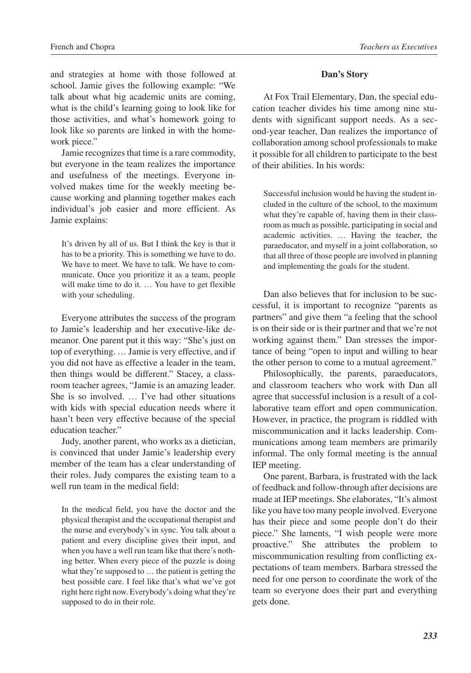and strategies at home with those followed at school. Jamie gives the following example: "We talk about what big academic units are coming, what is the child's learning going to look like for those activities, and what's homework going to look like so parents are linked in with the homework piece."

Jamie recognizes that time is a rare commodity, but everyone in the team realizes the importance and usefulness of the meetings. Everyone involved makes time for the weekly meeting because working and planning together makes each individual's job easier and more efficient. As Jamie explains:

It's driven by all of us. But I think the key is that it has to be a priority. This is something we have to do. We have to meet. We have to talk. We have to communicate. Once you prioritize it as a team, people will make time to do it. … You have to get flexible with your scheduling.

Everyone attributes the success of the program to Jamie's leadership and her executive-like demeanor. One parent put it this way: "She's just on top of everything. … Jamie is very effective, and if you did not have as effective a leader in the team, then things would be different." Stacey, a classroom teacher agrees, "Jamie is an amazing leader. She is so involved. … I've had other situations with kids with special education needs where it hasn't been very effective because of the special education teacher."

Judy, another parent, who works as a dietician, is convinced that under Jamie's leadership every member of the team has a clear understanding of their roles. Judy compares the existing team to a well run team in the medical field:

In the medical field, you have the doctor and the physical therapist and the occupational therapist and the nurse and everybody's in sync. You talk about a patient and every discipline gives their input, and when you have a well run team like that there's nothing better. When every piece of the puzzle is doing what they're supposed to … the patient is getting the best possible care. I feel like that's what we've got right here right now. Everybody's doing what they're supposed to do in their role.

#### **Dan's Story**

At Fox Trail Elementary, Dan, the special education teacher divides his time among nine students with significant support needs. As a second-year teacher, Dan realizes the importance of collaboration among school professionals to make it possible for all children to participate to the best of their abilities. In his words:

Successful inclusion would be having the student included in the culture of the school, to the maximum what they're capable of, having them in their classroom as much as possible, participating in social and academic activities. … Having the teacher, the paraeducator, and myself in a joint collaboration, so that all three of those people are involved in planning and implementing the goals for the student.

Dan also believes that for inclusion to be successful, it is important to recognize "parents as partners" and give them "a feeling that the school is on their side or is their partner and that we're not working against them." Dan stresses the importance of being "open to input and willing to hear the other person to come to a mutual agreement."

Philosophically, the parents, paraeducators, and classroom teachers who work with Dan all agree that successful inclusion is a result of a collaborative team effort and open communication. However, in practice, the program is riddled with miscommunication and it lacks leadership. Communications among team members are primarily informal. The only formal meeting is the annual IEP meeting.

One parent, Barbara, is frustrated with the lack of feedback and follow-through after decisions are made at IEP meetings. She elaborates, "It's almost like you have too many people involved. Everyone has their piece and some people don't do their piece." She laments, "I wish people were more proactive." She attributes the problem to miscommunication resulting from conflicting expectations of team members. Barbara stressed the need for one person to coordinate the work of the team so everyone does their part and everything gets done.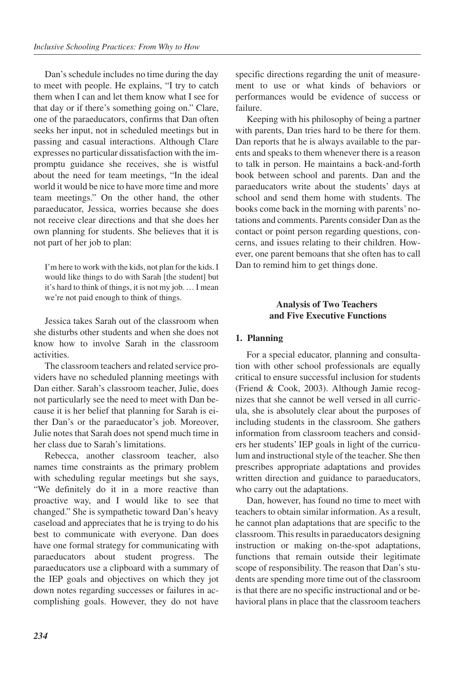Dan's schedule includes no time during the day to meet with people. He explains, "I try to catch them when I can and let them know what I see for that day or if there's something going on." Clare, one of the paraeducators, confirms that Dan often seeks her input, not in scheduled meetings but in passing and casual interactions. Although Clare expresses no particular dissatisfaction with the impromptu guidance she receives, she is wistful about the need for team meetings, "In the ideal world it would be nice to have more time and more team meetings." On the other hand, the other paraeducator, Jessica, worries because she does not receive clear directions and that she does her own planning for students. She believes that it is not part of her job to plan:

I'm here to work with the kids, not plan for the kids. I would like things to do with Sarah [the student] but it's hard to think of things, it is not my job. … I mean we're not paid enough to think of things.

Jessica takes Sarah out of the classroom when she disturbs other students and when she does not know how to involve Sarah in the classroom activities.

The classroom teachers and related service providers have no scheduled planning meetings with Dan either. Sarah's classroom teacher, Julie, does not particularly see the need to meet with Dan because it is her belief that planning for Sarah is either Dan's or the paraeducator's job. Moreover, Julie notes that Sarah does not spend much time in her class due to Sarah's limitations.

Rebecca, another classroom teacher, also names time constraints as the primary problem with scheduling regular meetings but she says, "We definitely do it in a more reactive than proactive way, and I would like to see that changed." She is sympathetic toward Dan's heavy caseload and appreciates that he is trying to do his best to communicate with everyone. Dan does have one formal strategy for communicating with paraeducators about student progress. The paraeducators use a clipboard with a summary of the IEP goals and objectives on which they jot down notes regarding successes or failures in accomplishing goals. However, they do not have

specific directions regarding the unit of measurement to use or what kinds of behaviors or performances would be evidence of success or failure.

Keeping with his philosophy of being a partner with parents, Dan tries hard to be there for them. Dan reports that he is always available to the parents and speaks to them whenever there is a reason to talk in person. He maintains a back-and-forth book between school and parents. Dan and the paraeducators write about the students' days at school and send them home with students. The books come back in the morning with parents' notations and comments. Parents consider Dan as the contact or point person regarding questions, concerns, and issues relating to their children. However, one parent bemoans that she often has to call Dan to remind him to get things done.

# **Analysis of Two Teachers and Five Executive Functions**

# **1. Planning**

For a special educator, planning and consultation with other school professionals are equally critical to ensure successful inclusion for students (Friend & Cook, 2003). Although Jamie recognizes that she cannot be well versed in all curricula, she is absolutely clear about the purposes of including students in the classroom. She gathers information from classroom teachers and considers her students' IEP goals in light of the curriculum and instructional style of the teacher. She then prescribes appropriate adaptations and provides written direction and guidance to paraeducators, who carry out the adaptations.

Dan, however, has found no time to meet with teachers to obtain similar information. As a result, he cannot plan adaptations that are specific to the classroom. This results in paraeducators designing instruction or making on-the-spot adaptations, functions that remain outside their legitimate scope of responsibility. The reason that Dan's students are spending more time out of the classroom is that there are no specific instructional and or behavioral plans in place that the classroom teachers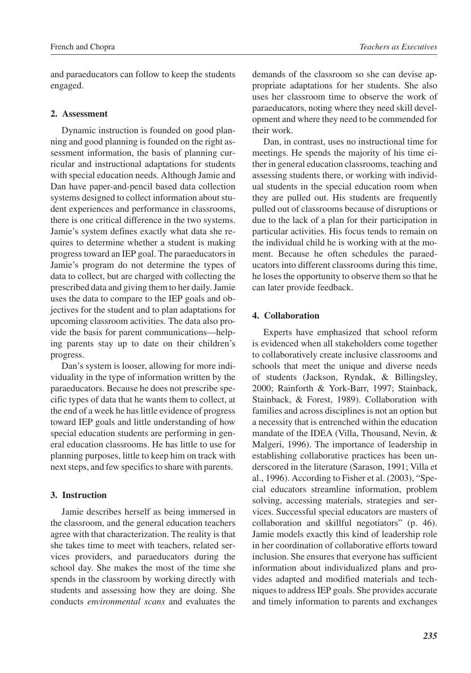and paraeducators can follow to keep the students engaged.

# **2. Assessment**

Dynamic instruction is founded on good planning and good planning is founded on the right assessment information, the basis of planning curricular and instructional adaptations for students with special education needs. Although Jamie and Dan have paper-and-pencil based data collection systems designed to collect information about student experiences and performance in classrooms, there is one critical difference in the two systems. Jamie's system defines exactly what data she requires to determine whether a student is making progress toward an IEP goal. The paraeducators in Jamie's program do not determine the types of data to collect, but are charged with collecting the prescribed data and giving them to her daily. Jamie uses the data to compare to the IEP goals and objectives for the student and to plan adaptations for upcoming classroom activities. The data also provide the basis for parent communications—helping parents stay up to date on their children's progress.

Dan's system is looser, allowing for more individuality in the type of information written by the paraeducators. Because he does not prescribe specific types of data that he wants them to collect, at the end of a week he has little evidence of progress toward IEP goals and little understanding of how special education students are performing in general education classrooms. He has little to use for planning purposes, little to keep him on track with next steps, and few specifics to share with parents.

# **3. Instruction**

Jamie describes herself as being immersed in the classroom, and the general education teachers agree with that characterization. The reality is that she takes time to meet with teachers, related services providers, and paraeducators during the school day. She makes the most of the time she spends in the classroom by working directly with students and assessing how they are doing. She conducts *environmental scans* and evaluates the demands of the classroom so she can devise appropriate adaptations for her students. She also uses her classroom time to observe the work of paraeducators, noting where they need skill development and where they need to be commended for their work.

Dan, in contrast, uses no instructional time for meetings. He spends the majority of his time either in general education classrooms, teaching and assessing students there, or working with individual students in the special education room when they are pulled out. His students are frequently pulled out of classrooms because of disruptions or due to the lack of a plan for their participation in particular activities. His focus tends to remain on the individual child he is working with at the moment. Because he often schedules the paraeducators into different classrooms during this time, he loses the opportunity to observe them so that he can later provide feedback.

#### **4. Collaboration**

Experts have emphasized that school reform is evidenced when all stakeholders come together to collaboratively create inclusive classrooms and schools that meet the unique and diverse needs of students (Jackson, Ryndak, & Billingsley, 2000; Rainforth & York-Barr, 1997; Stainback, Stainback, & Forest, 1989). Collaboration with families and across disciplines is not an option but a necessity that is entrenched within the education mandate of the IDEA (Villa, Thousand, Nevin, & Malgeri, 1996). The importance of leadership in establishing collaborative practices has been underscored in the literature (Sarason, 1991; Villa et al., 1996). According to Fisher et al. (2003), "Special educators streamline information, problem solving, accessing materials, strategies and services. Successful special educators are masters of collaboration and skillful negotiators" (p. 46). Jamie models exactly this kind of leadership role in her coordination of collaborative efforts toward inclusion. She ensures that everyone has sufficient information about individualized plans and provides adapted and modified materials and techniques to address IEP goals. She provides accurate and timely information to parents and exchanges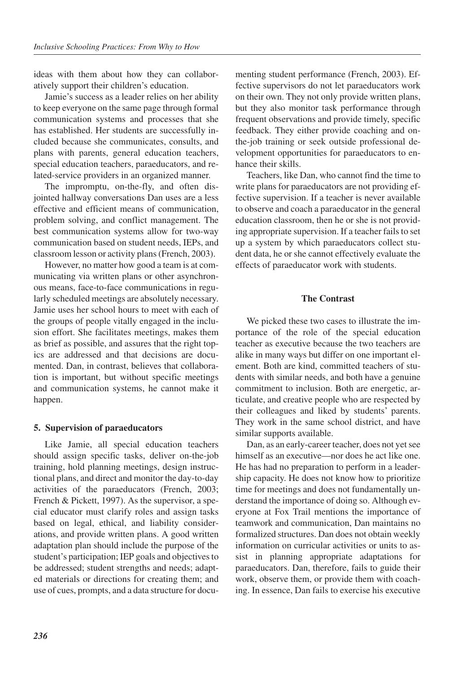ideas with them about how they can collaboratively support their children's education.

Jamie's success as a leader relies on her ability to keep everyone on the same page through formal communication systems and processes that she has established. Her students are successfully included because she communicates, consults, and plans with parents, general education teachers, special education teachers, paraeducators, and related-service providers in an organized manner.

The impromptu, on-the-fly, and often disjointed hallway conversations Dan uses are a less effective and efficient means of communication, problem solving, and conflict management. The best communication systems allow for two-way communication based on student needs, IEPs, and classroom lesson or activity plans (French, 2003).

However, no matter how good a team is at communicating via written plans or other asynchronous means, face-to-face communications in regularly scheduled meetings are absolutely necessary. Jamie uses her school hours to meet with each of the groups of people vitally engaged in the inclusion effort. She facilitates meetings, makes them as brief as possible, and assures that the right topics are addressed and that decisions are documented. Dan, in contrast, believes that collaboration is important, but without specific meetings and communication systems, he cannot make it happen.

# **5. Supervision of paraeducators**

Like Jamie, all special education teachers should assign specific tasks, deliver on-the-job training, hold planning meetings, design instructional plans, and direct and monitor the day-to-day activities of the paraeducators (French, 2003; French & Pickett, 1997). As the supervisor, a special educator must clarify roles and assign tasks based on legal, ethical, and liability considerations, and provide written plans. A good written adaptation plan should include the purpose of the student's participation; IEP goals and objectives to be addressed; student strengths and needs; adapted materials or directions for creating them; and use of cues, prompts, and a data structure for documenting student performance (French, 2003). Effective supervisors do not let paraeducators work on their own. They not only provide written plans, but they also monitor task performance through frequent observations and provide timely, specific feedback. They either provide coaching and onthe-job training or seek outside professional development opportunities for paraeducators to enhance their skills.

Teachers, like Dan, who cannot find the time to write plans for paraeducators are not providing effective supervision. If a teacher is never available to observe and coach a paraeducator in the general education classroom, then he or she is not providing appropriate supervision. If a teacher fails to set up a system by which paraeducators collect student data, he or she cannot effectively evaluate the effects of paraeducator work with students.

#### **The Contrast**

We picked these two cases to illustrate the importance of the role of the special education teacher as executive because the two teachers are alike in many ways but differ on one important element. Both are kind, committed teachers of students with similar needs, and both have a genuine commitment to inclusion. Both are energetic, articulate, and creative people who are respected by their colleagues and liked by students' parents. They work in the same school district, and have similar supports available.

Dan, as an early-career teacher, does not yet see himself as an executive—nor does he act like one. He has had no preparation to perform in a leadership capacity. He does not know how to prioritize time for meetings and does not fundamentally understand the importance of doing so. Although everyone at Fox Trail mentions the importance of teamwork and communication, Dan maintains no formalized structures. Dan does not obtain weekly information on curricular activities or units to assist in planning appropriate adaptations for paraeducators. Dan, therefore, fails to guide their work, observe them, or provide them with coaching. In essence, Dan fails to exercise his executive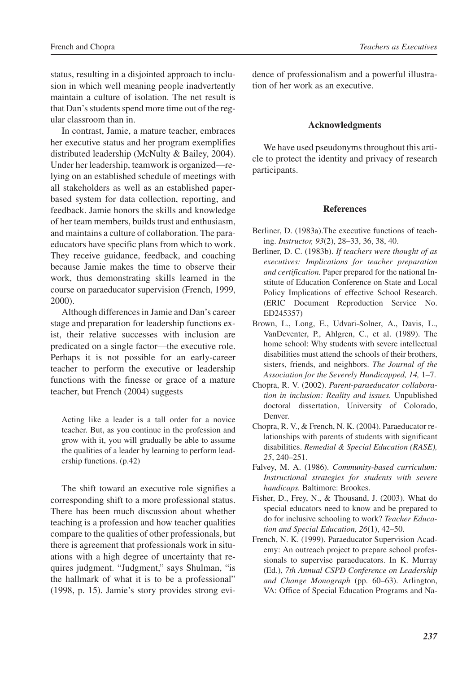status, resulting in a disjointed approach to inclusion in which well meaning people inadvertently maintain a culture of isolation. The net result is that Dan's students spend more time out of the regular classroom than in.

In contrast, Jamie, a mature teacher, embraces her executive status and her program exemplifies distributed leadership (McNulty & Bailey, 2004). Under her leadership, teamwork is organized—relying on an established schedule of meetings with all stakeholders as well as an established paperbased system for data collection, reporting, and feedback. Jamie honors the skills and knowledge of her team members, builds trust and enthusiasm, and maintains a culture of collaboration. The paraeducators have specific plans from which to work. They receive guidance, feedback, and coaching because Jamie makes the time to observe their work, thus demonstrating skills learned in the course on paraeducator supervision (French, 1999, 2000).

Although differences in Jamie and Dan's career stage and preparation for leadership functions exist, their relative successes with inclusion are predicated on a single factor—the executive role. Perhaps it is not possible for an early-career teacher to perform the executive or leadership functions with the finesse or grace of a mature teacher, but French (2004) suggests

Acting like a leader is a tall order for a novice teacher. But, as you continue in the profession and grow with it, you will gradually be able to assume the qualities of a leader by learning to perform leadership functions. (p.42)

The shift toward an executive role signifies a corresponding shift to a more professional status. There has been much discussion about whether teaching is a profession and how teacher qualities compare to the qualities of other professionals, but there is agreement that professionals work in situations with a high degree of uncertainty that requires judgment. "Judgment," says Shulman, "is the hallmark of what it is to be a professional" (1998, p. 15). Jamie's story provides strong evidence of professionalism and a powerful illustration of her work as an executive.

#### **Acknowledgments**

We have used pseudonyms throughout this article to protect the identity and privacy of research participants.

#### **References**

- Berliner, D. (1983a).The executive functions of teaching. *Instructor, 93*(2), 28–33, 36, 38, 40.
- Berliner, D. C. (1983b). *If teachers were thought of as executives: Implications for teacher preparation and certification.* Paper prepared for the national Institute of Education Conference on State and Local Policy Implications of effective School Research. (ERIC Document Reproduction Service No. ED245357)
- Brown, L., Long, E., Udvari-Solner, A., Davis, L., VanDeventer, P., Ahlgren, C., et al. (1989). The home school: Why students with severe intellectual disabilities must attend the schools of their brothers, sisters, friends, and neighbors. *The Journal of the Association for the Severely Handicapped, 14,* 1–7.
- Chopra, R. V. (2002). *Parent-paraeducator collaboration in inclusion: Reality and issues.* Unpublished doctoral dissertation, University of Colorado, Denver.
- Chopra, R. V., & French, N. K. (2004). Paraeducator relationships with parents of students with significant disabilities. *Remedial & Special Education (RASE), 25*, 240–251.
- Falvey, M. A. (1986). *Community-based curriculum: Instructional strategies for students with severe handicaps.* Baltimore: Brookes.
- Fisher, D., Frey, N., & Thousand, J. (2003). What do special educators need to know and be prepared to do for inclusive schooling to work? *Teacher Education and Special Education, 26*(1), 42–50.
- French, N. K. (1999). Paraeducator Supervision Academy: An outreach project to prepare school professionals to supervise paraeducators. In K. Murray (Ed.), *7th Annual CSPD Conference on Leadership and Change Monograph* (pp. 60–63). Arlington, VA: Office of Special Education Programs and Na-